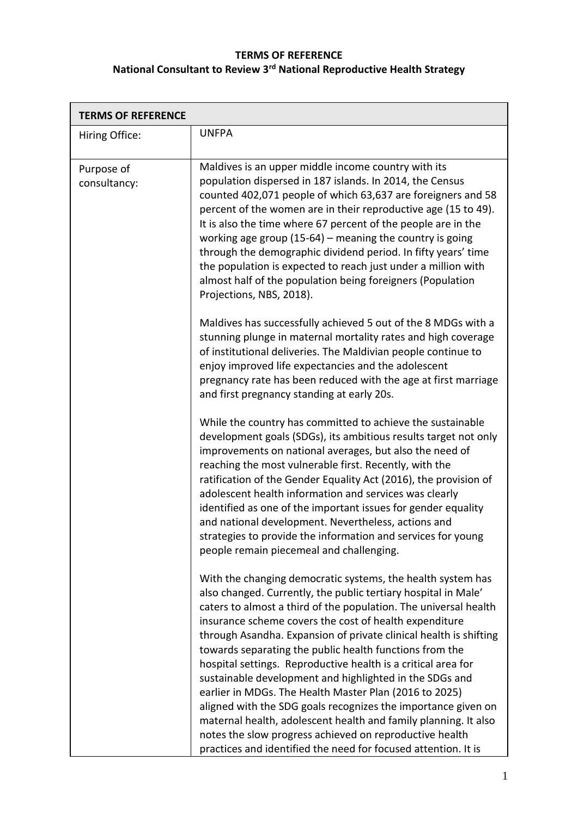## **TERMS OF REFERENCE National Consultant to Review 3rd National Reproductive Health Strategy**

| <b>TERMS OF REFERENCE</b>  |                                                                                                                                                                                                                                                                                                                                                                                                                                                                                                                                                                                                                                                                                                                                                                                                                                                    |  |
|----------------------------|----------------------------------------------------------------------------------------------------------------------------------------------------------------------------------------------------------------------------------------------------------------------------------------------------------------------------------------------------------------------------------------------------------------------------------------------------------------------------------------------------------------------------------------------------------------------------------------------------------------------------------------------------------------------------------------------------------------------------------------------------------------------------------------------------------------------------------------------------|--|
| Hiring Office:             | <b>UNFPA</b>                                                                                                                                                                                                                                                                                                                                                                                                                                                                                                                                                                                                                                                                                                                                                                                                                                       |  |
| Purpose of<br>consultancy: | Maldives is an upper middle income country with its<br>population dispersed in 187 islands. In 2014, the Census<br>counted 402,071 people of which 63,637 are foreigners and 58<br>percent of the women are in their reproductive age (15 to 49).<br>It is also the time where 67 percent of the people are in the<br>working age group (15-64) – meaning the country is going<br>through the demographic dividend period. In fifty years' time<br>the population is expected to reach just under a million with<br>almost half of the population being foreigners (Population<br>Projections, NBS, 2018).                                                                                                                                                                                                                                         |  |
|                            | Maldives has successfully achieved 5 out of the 8 MDGs with a<br>stunning plunge in maternal mortality rates and high coverage<br>of institutional deliveries. The Maldivian people continue to<br>enjoy improved life expectancies and the adolescent<br>pregnancy rate has been reduced with the age at first marriage<br>and first pregnancy standing at early 20s.                                                                                                                                                                                                                                                                                                                                                                                                                                                                             |  |
|                            | While the country has committed to achieve the sustainable<br>development goals (SDGs), its ambitious results target not only<br>improvements on national averages, but also the need of<br>reaching the most vulnerable first. Recently, with the<br>ratification of the Gender Equality Act (2016), the provision of<br>adolescent health information and services was clearly<br>identified as one of the important issues for gender equality<br>and national development. Nevertheless, actions and<br>strategies to provide the information and services for young<br>people remain piecemeal and challenging.                                                                                                                                                                                                                               |  |
|                            | With the changing democratic systems, the health system has<br>also changed. Currently, the public tertiary hospital in Male'<br>caters to almost a third of the population. The universal health<br>insurance scheme covers the cost of health expenditure<br>through Asandha. Expansion of private clinical health is shifting<br>towards separating the public health functions from the<br>hospital settings. Reproductive health is a critical area for<br>sustainable development and highlighted in the SDGs and<br>earlier in MDGs. The Health Master Plan (2016 to 2025)<br>aligned with the SDG goals recognizes the importance given on<br>maternal health, adolescent health and family planning. It also<br>notes the slow progress achieved on reproductive health<br>practices and identified the need for focused attention. It is |  |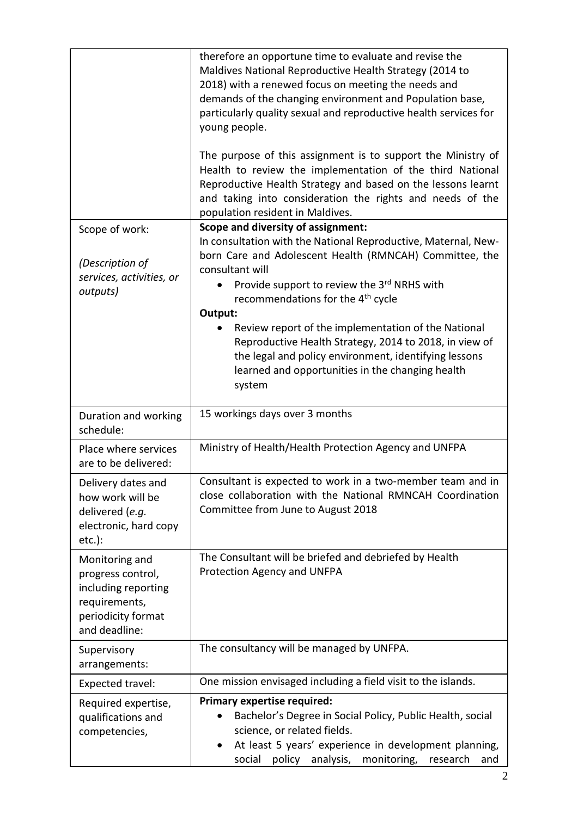|                                                                                                                    | therefore an opportune time to evaluate and revise the<br>Maldives National Reproductive Health Strategy (2014 to<br>2018) with a renewed focus on meeting the needs and<br>demands of the changing environment and Population base,<br>particularly quality sexual and reproductive health services for<br>young people.<br>The purpose of this assignment is to support the Ministry of<br>Health to review the implementation of the third National<br>Reproductive Health Strategy and based on the lessons learnt<br>and taking into consideration the rights and needs of the<br>population resident in Maldives. |
|--------------------------------------------------------------------------------------------------------------------|-------------------------------------------------------------------------------------------------------------------------------------------------------------------------------------------------------------------------------------------------------------------------------------------------------------------------------------------------------------------------------------------------------------------------------------------------------------------------------------------------------------------------------------------------------------------------------------------------------------------------|
| Scope of work:<br>(Description of                                                                                  | <b>Scope and diversity of assignment:</b><br>In consultation with the National Reproductive, Maternal, New-<br>born Care and Adolescent Health (RMNCAH) Committee, the<br>consultant will                                                                                                                                                                                                                                                                                                                                                                                                                               |
| services, activities, or<br>outputs)                                                                               | Provide support to review the 3rd NRHS with<br>recommendations for the 4 <sup>th</sup> cycle<br>Output:                                                                                                                                                                                                                                                                                                                                                                                                                                                                                                                 |
|                                                                                                                    | Review report of the implementation of the National<br>Reproductive Health Strategy, 2014 to 2018, in view of<br>the legal and policy environment, identifying lessons<br>learned and opportunities in the changing health<br>system                                                                                                                                                                                                                                                                                                                                                                                    |
| Duration and working<br>schedule:                                                                                  | 15 workings days over 3 months                                                                                                                                                                                                                                                                                                                                                                                                                                                                                                                                                                                          |
| Place where services<br>are to be delivered:                                                                       | Ministry of Health/Health Protection Agency and UNFPA                                                                                                                                                                                                                                                                                                                                                                                                                                                                                                                                                                   |
| Delivery dates and<br>how work will be<br>delivered (e.g.<br>electronic, hard copy<br>$etc.$ ):                    | Consultant is expected to work in a two-member team and in<br>close collaboration with the National RMNCAH Coordination<br>Committee from June to August 2018                                                                                                                                                                                                                                                                                                                                                                                                                                                           |
| Monitoring and<br>progress control,<br>including reporting<br>requirements,<br>periodicity format<br>and deadline: | The Consultant will be briefed and debriefed by Health<br>Protection Agency and UNFPA                                                                                                                                                                                                                                                                                                                                                                                                                                                                                                                                   |
| Supervisory<br>arrangements:                                                                                       | The consultancy will be managed by UNFPA.                                                                                                                                                                                                                                                                                                                                                                                                                                                                                                                                                                               |
| Expected travel:                                                                                                   | One mission envisaged including a field visit to the islands.                                                                                                                                                                                                                                                                                                                                                                                                                                                                                                                                                           |
| Required expertise,<br>qualifications and<br>competencies,                                                         | <b>Primary expertise required:</b><br>Bachelor's Degree in Social Policy, Public Health, social<br>science, or related fields.<br>At least 5 years' experience in development planning,<br>monitoring,<br>policy<br>analysis,<br>social<br>research<br>and                                                                                                                                                                                                                                                                                                                                                              |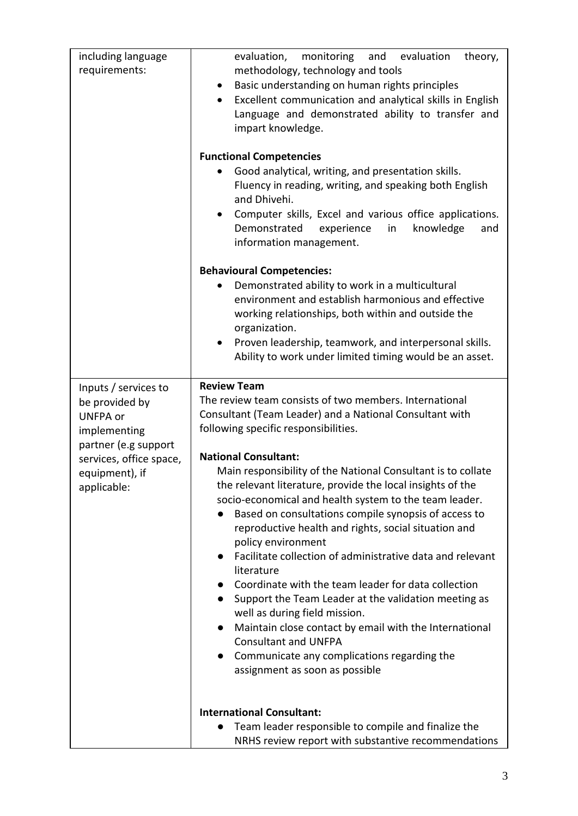| requirements:<br>methodology, technology and tools<br>Basic understanding on human rights principles<br>$\bullet$<br>Excellent communication and analytical skills in English<br>$\bullet$ |  |
|--------------------------------------------------------------------------------------------------------------------------------------------------------------------------------------------|--|
|                                                                                                                                                                                            |  |
|                                                                                                                                                                                            |  |
|                                                                                                                                                                                            |  |
| Language and demonstrated ability to transfer and                                                                                                                                          |  |
| impart knowledge.                                                                                                                                                                          |  |
| <b>Functional Competencies</b>                                                                                                                                                             |  |
| Good analytical, writing, and presentation skills.                                                                                                                                         |  |
| Fluency in reading, writing, and speaking both English<br>and Dhivehi.                                                                                                                     |  |
| Computer skills, Excel and various office applications.<br>$\bullet$                                                                                                                       |  |
| Demonstrated<br>in<br>knowledge<br>experience<br>and<br>information management.                                                                                                            |  |
| <b>Behavioural Competencies:</b>                                                                                                                                                           |  |
| Demonstrated ability to work in a multicultural                                                                                                                                            |  |
| environment and establish harmonious and effective                                                                                                                                         |  |
| working relationships, both within and outside the                                                                                                                                         |  |
| organization.                                                                                                                                                                              |  |
| Proven leadership, teamwork, and interpersonal skills.<br>$\bullet$                                                                                                                        |  |
| Ability to work under limited timing would be an asset.                                                                                                                                    |  |
| <b>Review Team</b><br>Inputs / services to                                                                                                                                                 |  |
| The review team consists of two members. International<br>be provided by                                                                                                                   |  |
| Consultant (Team Leader) and a National Consultant with<br><b>UNFPA or</b>                                                                                                                 |  |
| following specific responsibilities.<br>implementing                                                                                                                                       |  |
| partner (e.g support                                                                                                                                                                       |  |
| <b>National Consultant:</b><br>services, office space,                                                                                                                                     |  |
| Main responsibility of the National Consultant is to collate<br>equipment), if<br>the relevant literature, provide the local insights of the                                               |  |
| applicable:<br>socio-economical and health system to the team leader.                                                                                                                      |  |
| Based on consultations compile synopsis of access to                                                                                                                                       |  |
| reproductive health and rights, social situation and                                                                                                                                       |  |
| policy environment                                                                                                                                                                         |  |
| Facilitate collection of administrative data and relevant<br>$\bullet$<br>literature                                                                                                       |  |
| Coordinate with the team leader for data collection<br>$\bullet$                                                                                                                           |  |
| Support the Team Leader at the validation meeting as<br>$\bullet$                                                                                                                          |  |
| well as during field mission.                                                                                                                                                              |  |
| Maintain close contact by email with the International<br>$\bullet$                                                                                                                        |  |
| <b>Consultant and UNFPA</b><br>Communicate any complications regarding the<br>$\bullet$                                                                                                    |  |
| assignment as soon as possible                                                                                                                                                             |  |
|                                                                                                                                                                                            |  |
|                                                                                                                                                                                            |  |
| <b>International Consultant:</b><br>Team leader responsible to compile and finalize the                                                                                                    |  |
| NRHS review report with substantive recommendations                                                                                                                                        |  |